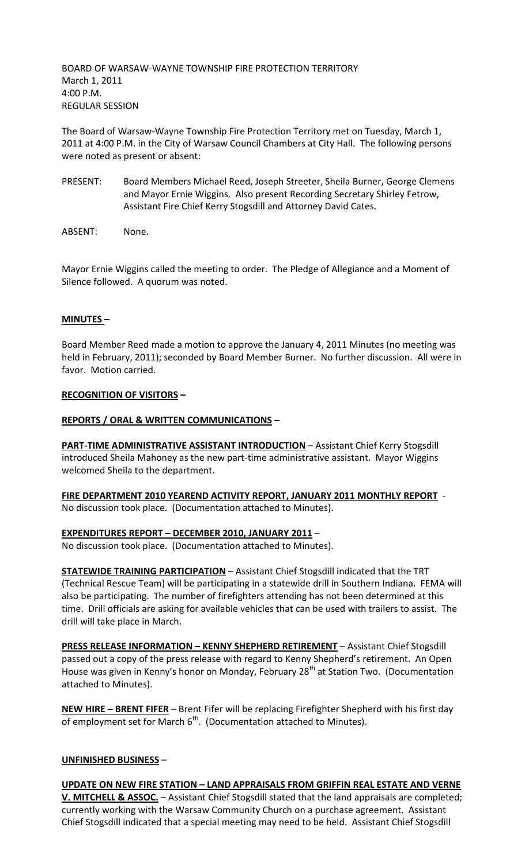BOARD OF WARSAW-WAYNE TOWNSHIP FIRE PROTECTION TERRITORY March 1, 2011 4:00 P.M. REGULAR SESSION

The Board of Warsaw-Wayne Township Fire Protection Territory met on Tuesday, March 1, 2011 at 4:00 P.M. in the City of Warsaw Council Chambers at City Hall. The following persons were noted as present or absent:

- PRESENT: Board Members Michael Reed, Joseph Streeter, Sheila Burner, George Clemens and Mayor Ernie Wiggins. Also present Recording Secretary Shirley Fetrow, Assistant Fire Chief Kerry Stogsdill and Attorney David Cates.
- ABSENT: None.

Mayor Ernie Wiggins called the meeting to order. The Pledge of Allegiance and a Moment of Silence followed. A quorum was noted.

## **MINUTES –**

Board Member Reed made a motion to approve the January 4, 2011 Minutes (no meeting was held in February, 2011); seconded by Board Member Burner. No further discussion. All were in favor. Motion carried.

### **RECOGNITION OF VISITORS –**

### **REPORTS / ORAL & WRITTEN COMMUNICATIONS –**

**PART-TIME ADMINISTRATIVE ASSISTANT INTRODUCTION** – Assistant Chief Kerry Stogsdill introduced Sheila Mahoney as the new part-time administrative assistant. Mayor Wiggins welcomed Sheila to the department.

**FIRE DEPARTMENT 2010 YEAREND ACTIVITY REPORT, JANUARY 2011 MONTHLY REPORT** - No discussion took place. (Documentation attached to Minutes).

**EXPENDITURES REPORT – DECEMBER 2010, JANUARY 2011** –

No discussion took place. (Documentation attached to Minutes).

**STATEWIDE TRAINING PARTICIPATION** – Assistant Chief Stogsdill indicated that the TRT (Technical Rescue Team) will be participating in a statewide drill in Southern Indiana. FEMA will also be participating. The number of firefighters attending has not been determined at this time. Drill officials are asking for available vehicles that can be used with trailers to assist. The drill will take place in March.

**PRESS RELEASE INFORMATION – KENNY SHEPHERD RETIREMENT** – Assistant Chief Stogsdill passed out a copy of the press release with regard to Kenny Shepherd's retirement. An Open House was given in Kenny's honor on Monday, February 28<sup>th</sup> at Station Two. (Documentation attached to Minutes).

**NEW HIRE – BRENT FIFER** – Brent Fifer will be replacing Firefighter Shepherd with his first day of employment set for March  $6<sup>th</sup>$ . (Documentation attached to Minutes).

## **UNFINISHED BUSINESS** –

**UPDATE ON NEW FIRE STATION – LAND APPRAISALS FROM GRIFFIN REAL ESTATE AND VERNE V. MITCHELL & ASSOC.** – Assistant Chief Stogsdill stated that the land appraisals are completed; currently working with the Warsaw Community Church on a purchase agreement. Assistant Chief Stogsdill indicated that a special meeting may need to be held. Assistant Chief Stogsdill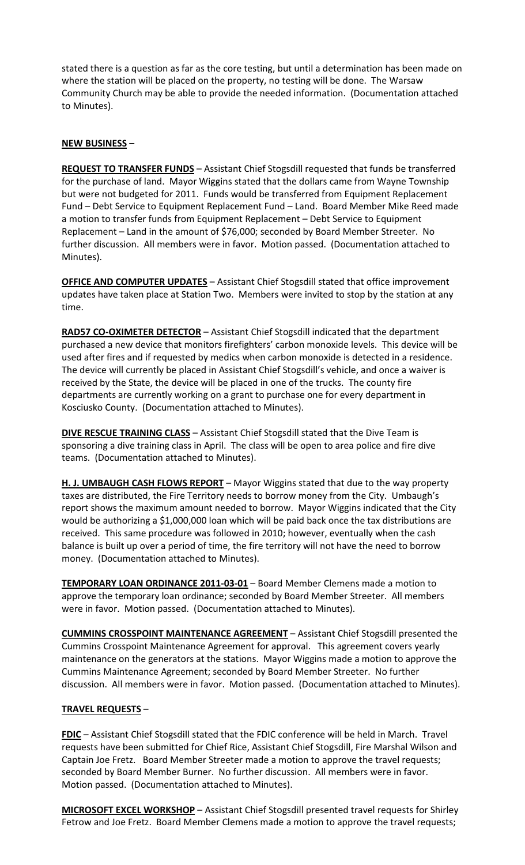stated there is a question as far as the core testing, but until a determination has been made on where the station will be placed on the property, no testing will be done. The Warsaw Community Church may be able to provide the needed information. (Documentation attached to Minutes).

# **NEW BUSINESS –**

**REQUEST TO TRANSFER FUNDS** – Assistant Chief Stogsdill requested that funds be transferred for the purchase of land. Mayor Wiggins stated that the dollars came from Wayne Township but were not budgeted for 2011. Funds would be transferred from Equipment Replacement Fund – Debt Service to Equipment Replacement Fund – Land. Board Member Mike Reed made a motion to transfer funds from Equipment Replacement – Debt Service to Equipment Replacement – Land in the amount of \$76,000; seconded by Board Member Streeter. No further discussion. All members were in favor. Motion passed. (Documentation attached to Minutes).

**OFFICE AND COMPUTER UPDATES** – Assistant Chief Stogsdill stated that office improvement updates have taken place at Station Two. Members were invited to stop by the station at any time.

**RAD57 CO-OXIMETER DETECTOR** – Assistant Chief Stogsdill indicated that the department purchased a new device that monitors firefighters' carbon monoxide levels. This device will be used after fires and if requested by medics when carbon monoxide is detected in a residence. The device will currently be placed in Assistant Chief Stogsdill's vehicle, and once a waiver is received by the State, the device will be placed in one of the trucks. The county fire departments are currently working on a grant to purchase one for every department in Kosciusko County. (Documentation attached to Minutes).

**DIVE RESCUE TRAINING CLASS** - Assistant Chief Stogsdill stated that the Dive Team is sponsoring a dive training class in April. The class will be open to area police and fire dive teams. (Documentation attached to Minutes).

**H. J. UMBAUGH CASH FLOWS REPORT** – Mayor Wiggins stated that due to the way property taxes are distributed, the Fire Territory needs to borrow money from the City. Umbaugh's report shows the maximum amount needed to borrow. Mayor Wiggins indicated that the City would be authorizing a \$1,000,000 loan which will be paid back once the tax distributions are received. This same procedure was followed in 2010; however, eventually when the cash balance is built up over a period of time, the fire territory will not have the need to borrow money. (Documentation attached to Minutes).

**TEMPORARY LOAN ORDINANCE 2011-03-01** – Board Member Clemens made a motion to approve the temporary loan ordinance; seconded by Board Member Streeter. All members were in favor. Motion passed. (Documentation attached to Minutes).

**CUMMINS CROSSPOINT MAINTENANCE AGREEMENT** – Assistant Chief Stogsdill presented the Cummins Crosspoint Maintenance Agreement for approval. This agreement covers yearly maintenance on the generators at the stations. Mayor Wiggins made a motion to approve the Cummins Maintenance Agreement; seconded by Board Member Streeter. No further discussion. All members were in favor. Motion passed. (Documentation attached to Minutes).

## **TRAVEL REQUESTS** –

**FDIC** – Assistant Chief Stogsdill stated that the FDIC conference will be held in March. Travel requests have been submitted for Chief Rice, Assistant Chief Stogsdill, Fire Marshal Wilson and Captain Joe Fretz. Board Member Streeter made a motion to approve the travel requests; seconded by Board Member Burner. No further discussion. All members were in favor. Motion passed. (Documentation attached to Minutes).

**MICROSOFT EXCEL WORKSHOP** – Assistant Chief Stogsdill presented travel requests for Shirley Fetrow and Joe Fretz. Board Member Clemens made a motion to approve the travel requests;